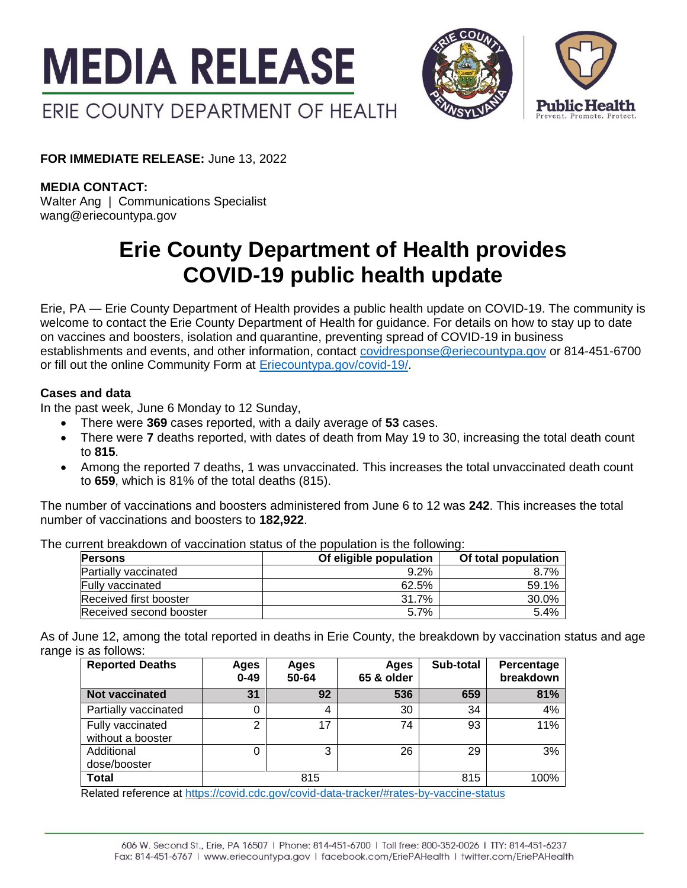



**FOR IMMEDIATE RELEASE:** June 13, 2022

**MEDIA CONTACT:**

Walter Ang | Communications Specialist wang@eriecountypa.gov

# **Erie County Department of Health provides COVID-19 public health update**

Erie, PA — Erie County Department of Health provides a public health update on COVID-19. The community is welcome to contact the Erie County Department of Health for guidance. For details on how to stay up to date on vaccines and boosters, isolation and quarantine, preventing spread of COVID-19 in business establishments and events, and other information, contact [covidresponse@eriecountypa.gov](mailto:covidresponse@eriecountypa.gov) or 814-451-6700 or fill out the online Community Form at [Eriecountypa.gov/covid-19/.](https://eriecountypa.gov/covid-19/)

## **Cases and data**

In the past week, June 6 Monday to 12 Sunday,

- There were **369** cases reported, with a daily average of **53** cases.
- There were **7** deaths reported, with dates of death from May 19 to 30, increasing the total death count to **815**.
- Among the reported 7 deaths, 1 was unvaccinated. This increases the total unvaccinated death count to **659**, which is 81% of the total deaths (815).

The number of vaccinations and boosters administered from June 6 to 12 was **242**. This increases the total number of vaccinations and boosters to **182,922**.

The current breakdown of vaccination status of the population is the following:

| <b>Persons</b>              | Of eligible population | Of total population |  |
|-----------------------------|------------------------|---------------------|--|
| <b>Partially vaccinated</b> | $9.2\%$                | 8.7%                |  |
| <b>Fully vaccinated</b>     | 62.5%                  | 59.1%               |  |
| Received first booster      | 31.7%                  | 30.0%               |  |
| Received second booster     | 5.7%                   | 5.4%                |  |

As of June 12, among the total reported in deaths in Erie County, the breakdown by vaccination status and age range is as follows:

| <b>Reported Deaths</b>                                                                                                               | Ages<br>$0 - 49$ | Ages<br>50-64 | Ages<br>65 & older | Sub-total | Percentage<br>breakdown |
|--------------------------------------------------------------------------------------------------------------------------------------|------------------|---------------|--------------------|-----------|-------------------------|
| <b>Not vaccinated</b>                                                                                                                | 31               | 92            | 536                | 659       | 81%                     |
| Partially vaccinated                                                                                                                 | 0                | 4             | 30                 | 34        | 4%                      |
| Fully vaccinated<br>without a booster                                                                                                | C                | 17            | 74                 | 93        | 11%                     |
| Additional<br>dose/booster                                                                                                           | 0                | 3             | 26                 | 29        | 3%                      |
| Total<br>$\blacksquare$ . The function of the state of the function of the function of the distribution of the state of the state of |                  | 815           |                    | 815       | 100%                    |

Related reference at<https://covid.cdc.gov/covid-data-tracker/#rates-by-vaccine-status>